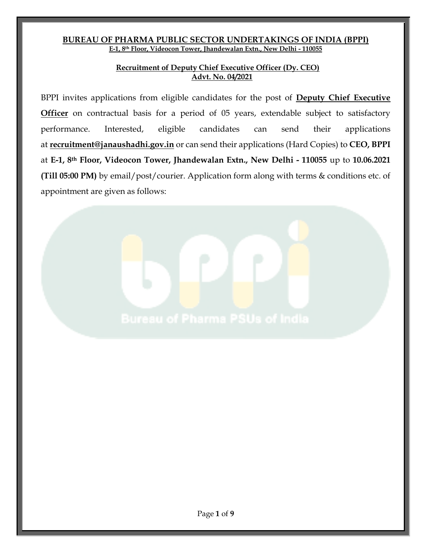### **BUREAU OF PHARMA PUBLIC SECTOR UNDERTAKINGS OF INDIA (BPPI) E-1, 8th Floor, Videocon Tower, Jhandewalan Extn., New Delhi - 110055**

### **Recruitment of Deputy Chief Executive Officer (Dy. CEO) Advt. No. 04/2021**

BPPI invites applications from eligible candidates for the post of **Deputy Chief Executive Officer** on contractual basis for a period of 05 years, extendable subject to satisfactory performance. Interested, eligible candidates can send their applications at **[recruitment@janaushadhi.gov.in](mailto:recruitment@janaushadhi.gov.in)** or can send their applications (Hard Copies) to **CEO, BPPI**  at **E-1, 8th Floor, Videocon Tower, Jhandewalan Extn., New Delhi - 110055** up to **10.06.2021 (Till 05:00 PM)** by email/post/courier. Application form along with terms & conditions etc. of appointment are given as follows: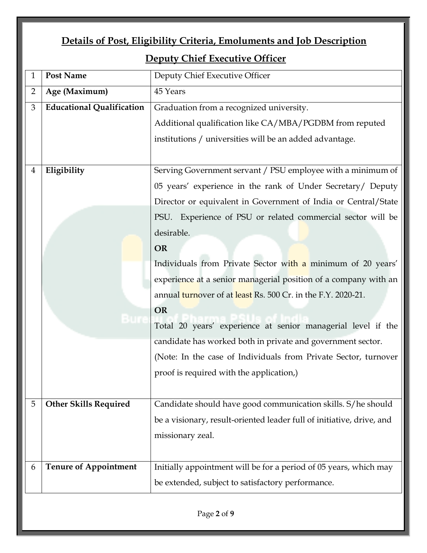|                | Details of Post, Eligibility Criteria, Emoluments and Job Description |                                                                                                                                |  |  |
|----------------|-----------------------------------------------------------------------|--------------------------------------------------------------------------------------------------------------------------------|--|--|
|                | <b>Deputy Chief Executive Officer</b>                                 |                                                                                                                                |  |  |
| $\mathbf{1}$   | <b>Post Name</b>                                                      | Deputy Chief Executive Officer                                                                                                 |  |  |
| $\overline{2}$ | Age (Maximum)                                                         | 45 Years                                                                                                                       |  |  |
| $\mathfrak{B}$ | <b>Educational Qualification</b>                                      | Graduation from a recognized university.                                                                                       |  |  |
|                |                                                                       | Additional qualification like CA/MBA/PGDBM from reputed                                                                        |  |  |
|                |                                                                       | institutions / universities will be an added advantage.                                                                        |  |  |
|                |                                                                       |                                                                                                                                |  |  |
| $\overline{4}$ | Eligibility                                                           | Serving Government servant / PSU employee with a minimum of                                                                    |  |  |
|                |                                                                       | 05 years' experience in the rank of Under Secretary/ Deputy                                                                    |  |  |
|                |                                                                       | Director or equivalent in Government of India or Central/State                                                                 |  |  |
|                |                                                                       | PSU. Experience of PSU or related commercial sector will be                                                                    |  |  |
|                |                                                                       | desirable.                                                                                                                     |  |  |
|                |                                                                       | <b>OR</b>                                                                                                                      |  |  |
|                |                                                                       | Individuals from Private Sector with a minimum of 20 years'<br>experience at a senior managerial position of a company with an |  |  |
|                |                                                                       |                                                                                                                                |  |  |
|                |                                                                       | annual turnover of at least Rs. 500 Cr. in the F.Y. 2020-21.                                                                   |  |  |
|                |                                                                       | <b>OR</b>                                                                                                                      |  |  |
|                |                                                                       | Total 20 years' experience at senior managerial level if the                                                                   |  |  |
|                |                                                                       | candidate has worked both in private and government sector.                                                                    |  |  |
|                |                                                                       | (Note: In the case of Individuals from Private Sector, turnover                                                                |  |  |
|                |                                                                       | proof is required with the application,)                                                                                       |  |  |
|                |                                                                       |                                                                                                                                |  |  |
| 5              | <b>Other Skills Required</b>                                          | Candidate should have good communication skills. S/he should                                                                   |  |  |
|                |                                                                       | be a visionary, result-oriented leader full of initiative, drive, and                                                          |  |  |
|                |                                                                       | missionary zeal.                                                                                                               |  |  |
|                |                                                                       |                                                                                                                                |  |  |
| 6              | <b>Tenure of Appointment</b>                                          | Initially appointment will be for a period of 05 years, which may                                                              |  |  |
|                |                                                                       | be extended, subject to satisfactory performance.                                                                              |  |  |
|                |                                                                       |                                                                                                                                |  |  |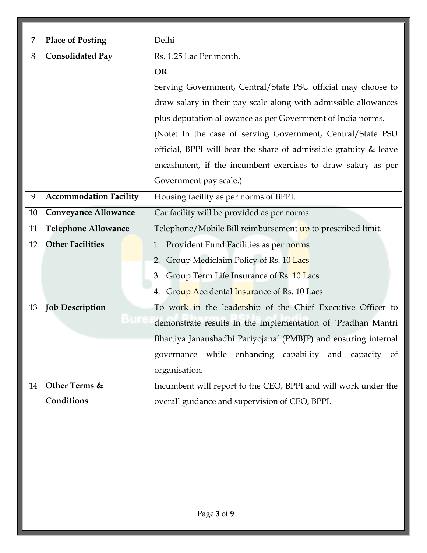| 7  | <b>Place of Posting</b>       | Delhi                                                             |  |  |
|----|-------------------------------|-------------------------------------------------------------------|--|--|
| 8  | <b>Consolidated Pay</b>       | Rs. 1.25 Lac Per month.                                           |  |  |
|    |                               | <b>OR</b>                                                         |  |  |
|    |                               | Serving Government, Central/State PSU official may choose to      |  |  |
|    |                               | draw salary in their pay scale along with admissible allowances   |  |  |
|    |                               | plus deputation allowance as per Government of India norms.       |  |  |
|    |                               | (Note: In the case of serving Government, Central/State PSU       |  |  |
|    |                               | official, BPPI will bear the share of admissible gratuity & leave |  |  |
|    |                               | encashment, if the incumbent exercises to draw salary as per      |  |  |
|    |                               | Government pay scale.)                                            |  |  |
| 9  | <b>Accommodation Facility</b> | Housing facility as per norms of BPPI.                            |  |  |
| 10 | <b>Conveyance Allowance</b>   | Car facility will be provided as per norms.                       |  |  |
| 11 | <b>Telephone Allowance</b>    | Telephone/Mobile Bill reimbursement up to prescribed limit.       |  |  |
| 12 | <b>Other Facilities</b>       | 1. Provident Fund Facilities as per norms                         |  |  |
|    |                               | Group Mediclaim Policy of Rs. 10 Lacs<br>2.                       |  |  |
|    |                               | Group Term Life Insurance of Rs. 10 Lacs<br>3.                    |  |  |
|    |                               | 4. Group Accidental Insurance of Rs. 10 Lacs                      |  |  |
| 13 | <b>Job Description</b>        | To work in the leadership of the Chief Executive Officer to       |  |  |
|    |                               | demonstrate results in the implementation of `Pradhan Mantri      |  |  |
|    |                               | Bhartiya Janaushadhi Pariyojana' (PMBJP) and ensuring internal    |  |  |
|    |                               | governance while enhancing capability and capacity of             |  |  |
|    |                               | organisation.                                                     |  |  |
| 14 | Other Terms &                 | Incumbent will report to the CEO, BPPI and will work under the    |  |  |
|    | Conditions                    | overall guidance and supervision of CEO, BPPI.                    |  |  |
|    |                               |                                                                   |  |  |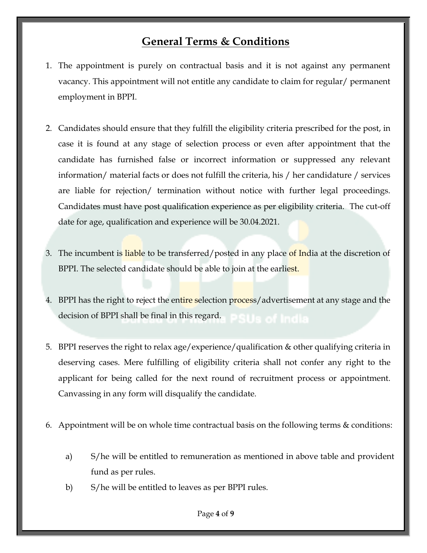# **General Terms & Conditions**

- 1. The appointment is purely on contractual basis and it is not against any permanent vacancy. This appointment will not entitle any candidate to claim for regular/ permanent employment in BPPI.
- 2. Candidates should ensure that they fulfill the eligibility criteria prescribed for the post, in case it is found at any stage of selection process or even after appointment that the candidate has furnished false or incorrect information or suppressed any relevant information/ material facts or does not fulfill the criteria, his / her candidature / services are liable for rejection/ termination without notice with further legal proceedings. Candidates must have post qualification experience as per eligibility criteria. The cut-off date for age, qualification and experience will be 30.04.2021.
- 3. The incumbent is liable to be transferred/posted in any place of India at the discretion of BPPI. The selected candidate should be able to join at the earliest.
- 4. BPPI has the right to reject the entire selection process/advertisement at any stage and the decision of BPPI shall be final in this regard.
- 5. BPPI reserves the right to relax age/experience/qualification & other qualifying criteria in deserving cases. Mere fulfilling of eligibility criteria shall not confer any right to the applicant for being called for the next round of recruitment process or appointment. Canvassing in any form will disqualify the candidate.
- 6. Appointment will be on whole time contractual basis on the following terms & conditions:
	- a) S/he will be entitled to remuneration as mentioned in above table and provident fund as per rules.
	- b) S/he will be entitled to leaves as per BPPI rules.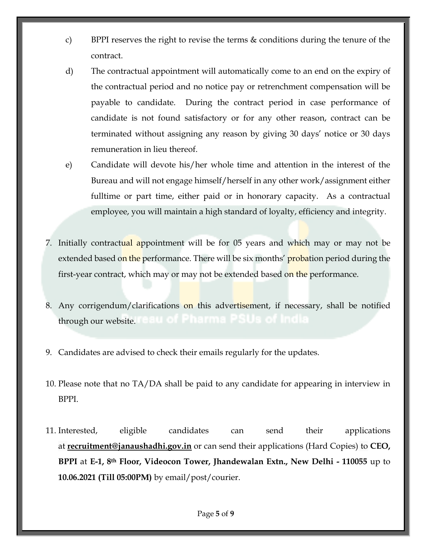- c) BPPI reserves the right to revise the terms & conditions during the tenure of the contract.
- d) The contractual appointment will automatically come to an end on the expiry of the contractual period and no notice pay or retrenchment compensation will be payable to candidate. During the contract period in case performance of candidate is not found satisfactory or for any other reason, contract can be terminated without assigning any reason by giving 30 days' notice or 30 days remuneration in lieu thereof.
- e) Candidate will devote his/her whole time and attention in the interest of the Bureau and will not engage himself/herself in any other work/assignment either fulltime or part time, either paid or in honorary capacity. As a contractual employee, you will maintain a high standard of loyalty, efficiency and integrity.
- 7. Initially contractual appointment will be for 05 years and which may or may not be extended based on the performance. There will be six months' probation period during the first-year contract, which may or may not be extended based on the performance.
- 8. Any corrigendum/clarifications on this advertisement, if necessary, shall be notified through our website.
- 9. Candidates are advised to check their emails regularly for the updates.
- 10. Please note that no TA/DA shall be paid to any candidate for appearing in interview in BPPI.
- 11. Interested, eligible candidates can send their applications at **[recruitment@janaushadhi.gov.in](mailto:recruitment@janaushadhi.gov.in)** or can send their applications (Hard Copies) to **CEO, BPPI** at **E-1, 8th Floor, Videocon Tower, Jhandewalan Extn., New Delhi - 110055** up to **10.06.2021 (Till 05:00PM)** by email/post/courier.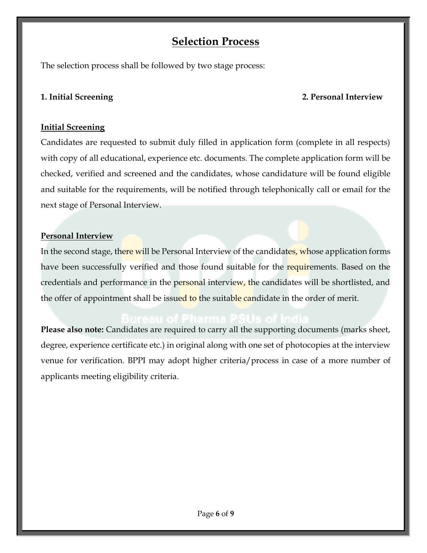# **Selection Process**

The selection process shall be followed by two stage process:

## **1. Initial Screening 2. Personal Interview**

# **Initial Screening**

Candidates are requested to submit duly filled in application form (complete in all respects) with copy of all educational, experience etc. documents. The complete application form will be checked, verified and screened and the candidates, whose candidature will be found eligible and suitable for the requirements, will be notified through telephonically call or email for the next stage of Personal Interview.

# **Personal Interview**

In the second stage, there will be Personal Interview of the candidates, whose application forms have been successfully verified and those found suitable for the requirements. Based on the credentials and performance in the personal interview, the candidates will be shortlisted, and the offer of appointment shall be issued to the suitable candidate in the order of merit.

Please also note: Candidates are required to carry all the supporting documents (marks sheet, degree, experience certificate etc.) in original along with one set of photocopies at the interview venue for verification. BPPI may adopt higher criteria/process in case of a more number of applicants meeting eligibility criteria.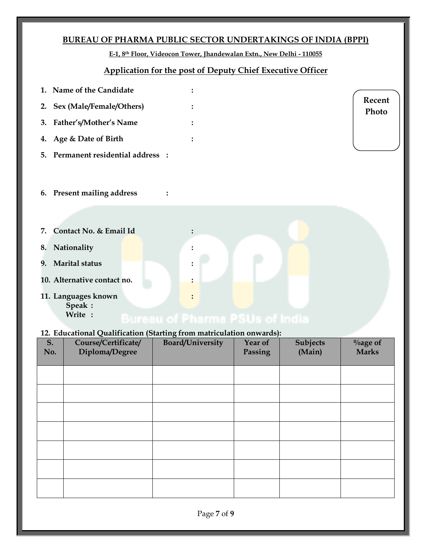# **BUREAU OF PHARMA PUBLIC SECTOR UNDERTAKINGS OF INDIA (BPPI)**

**E-1, 8th Floor, Videocon Tower, Jhandewalan Extn., New Delhi - 110055**

### **Application for the post of Deputy Chief Executive Officer**

| 1. Name of the Candidate           | ٠         |                 |
|------------------------------------|-----------|-----------------|
| 2. Sex (Male/Female/Others)        |           | Recent<br>Photo |
| 3. Father's/Mother's Name          |           |                 |
| 4. Age & Date of Birth             | $\bullet$ |                 |
| 5. Permanent residential address : |           |                 |
|                                    |           |                 |

- **6. Present mailing address :**
- **7. Contact No. & Email Id :**
- **8. Nationality :**
- **9. Marital status :**
- **10. Alternative contact no. :**
- **11. Languages known :**
	- **Speak : Write :**

### **12. Educational Qualification (Starting from matriculation onwards):**

| S.<br>No. | $\tilde{\phantom{a}}$<br>Course/Certificate/<br>Diploma/Degree | ്<br>Board/University | Year of<br>Passing | Subjects<br>(Main) | $\%$ age of<br><b>Marks</b> |
|-----------|----------------------------------------------------------------|-----------------------|--------------------|--------------------|-----------------------------|
|           |                                                                |                       |                    |                    |                             |
|           |                                                                |                       |                    |                    |                             |
|           |                                                                |                       |                    |                    |                             |
|           |                                                                |                       |                    |                    |                             |
|           |                                                                |                       |                    |                    |                             |
|           |                                                                |                       |                    |                    |                             |
|           |                                                                |                       |                    |                    |                             |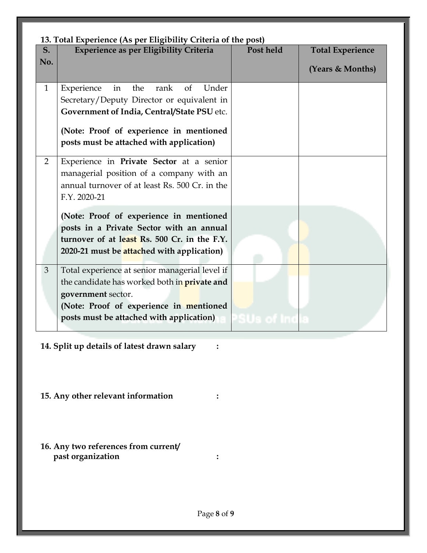|                       | 13. Total Experience (As per Eligibility Criteria of the post)                                                                                                                                                                                |             |                                             |  |  |  |
|-----------------------|-----------------------------------------------------------------------------------------------------------------------------------------------------------------------------------------------------------------------------------------------|-------------|---------------------------------------------|--|--|--|
| S <sub>1</sub><br>No. | Experience as per Eligibility Criteria                                                                                                                                                                                                        | Post held   | <b>Total Experience</b><br>(Years & Months) |  |  |  |
| $\mathbf{1}$          | Experience<br>the<br>Under<br>in<br>rank<br><sub>of</sub><br>Secretary/Deputy Director or equivalent in<br>Government of India, Central/State PSU etc.<br>(Note: Proof of experience in mentioned<br>posts must be attached with application) |             |                                             |  |  |  |
| $\overline{2}$        | Experience in Private Sector at a senior<br>managerial position of a company with an<br>annual turnover of at least Rs. 500 Cr. in the<br>F.Y. 2020-21                                                                                        |             |                                             |  |  |  |
|                       | (Note: Proof of experience in mentioned<br>posts in a Private Sector with an annual<br>turnover of at least Rs. 500 Cr. in the F.Y.<br>2020-21 must be attached with application)                                                             |             |                                             |  |  |  |
| 3                     | Total experience at senior managerial level if<br>the candidate has worked both in <b>private and</b><br>government sector.<br>(Note: Proof of experience in mentioned<br>posts must be attached with application)                            | PSUs of Ind |                                             |  |  |  |

- **14. Split up details of latest drawn salary :**
- **15. Any other relevant information :**
- **16. Any two references from current/ past organization :**